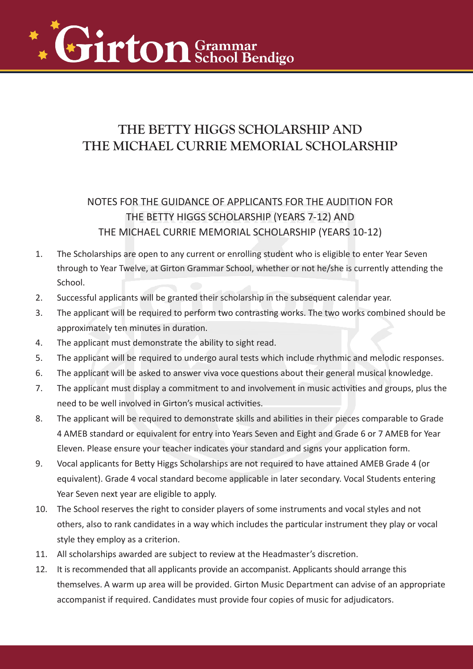

## **THE BETTY HIGGS SCHOLARSHIP AND THE MICHAEL CURRIE MEMORIAL SCHOLARSHIP**

# NOTES FOR THE GUIDANCE OF APPLICANTS FOR THE AUDITION FOR HPBETR HAGSPEHR ARSAHIVEA STHR AN THE MICHAEL CURRIE MEMORIAL SCHOLARSHIP (YEARS 10-12) 1. The Scholarships are open to any current or enrolling student who is eligible to enter Year Seven through to Year Twelve, at Girton Grammar School, whether or not he/she is currently attending the School. 2. Successful applicants will be granted their scholarship in the subsequent calendar year. 3. The applicant will be required to perform two contrasting works. The two works combined should be approximately te 4. The applicant must demonstrate the 5. The applicant will be required to undergo aural tests which include rhythmic and melodic responses. 6. The applicant will be asked to answer viva voce questions about their general musical knowledge. 7. The applicant must display a commitment to and involvement in music activities and groups, plus the need to be well in 8. The applicant will be required to demonstrate skills and abilities in their pieces comparable to Grade 4 AMEB standard or equivalent for entry into Years Seven and Eight and Grade 6 or 7 AMEB for Year Eleven. Please ensure your teacher indicates your standard and signs your application form.

- 9. Vocal applicants for Betty Higgs Scholarships are not required to have attained AMEB Grade 4 (or equivalent). Grade 4 vocal standard become applicable in later secondary. Vocal Students entering Year Seven next year are eligible to apply.
- 10. The School reserves the right to consider players of some instruments and vocal styles and not others, also to rank candidates in a way which includes the particular instrument they play or vocal style they employ as a criterion.
- 11. All scholarships awarded are subject to review at the Head's discretion.
- 12. It is recommended that all applicants provide an accompanist. Applicants should arrange this themselves. A warm up area will be provided. Girton Music Department can advise of an appropriate accompanist if required. Candidates must provide four copies of music for adjudicators.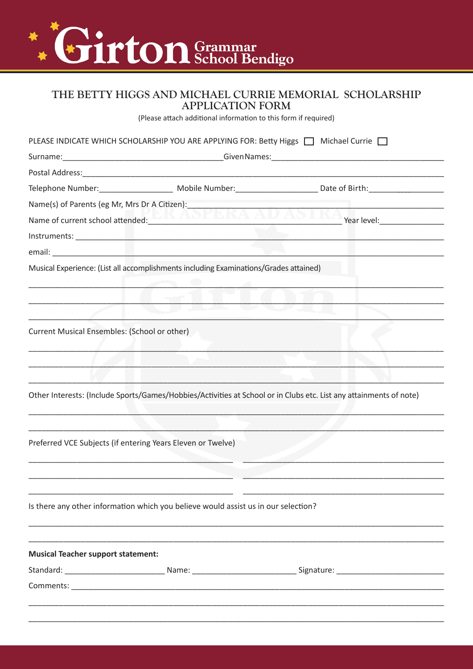

#### THE BETTY HIGGS AND MICHAEL CURRIE MEMORIAL SCHOLARSHIP **APPLICATION FORM**

(Please attach additional information to this form if required)

|                                                             | PLEASE INDICATE WHICH SCHOLARSHIP YOU ARE APPLYING FOR: Betty Higgs □ Michael Currie □ |                                                                                                                                                                                                                               |
|-------------------------------------------------------------|----------------------------------------------------------------------------------------|-------------------------------------------------------------------------------------------------------------------------------------------------------------------------------------------------------------------------------|
|                                                             |                                                                                        |                                                                                                                                                                                                                               |
|                                                             |                                                                                        |                                                                                                                                                                                                                               |
|                                                             |                                                                                        |                                                                                                                                                                                                                               |
|                                                             |                                                                                        |                                                                                                                                                                                                                               |
|                                                             | Name of current school attended: NAME ANTICA AVANIAA                                   | Year level: The control of the control of the control of the control of the control of the control of the control of the control of the control of the control of the control of the control of the control of the control of |
|                                                             |                                                                                        |                                                                                                                                                                                                                               |
|                                                             |                                                                                        |                                                                                                                                                                                                                               |
|                                                             | Musical Experience: (List all accomplishments including Examinations/Grades attained)  |                                                                                                                                                                                                                               |
|                                                             |                                                                                        |                                                                                                                                                                                                                               |
|                                                             |                                                                                        |                                                                                                                                                                                                                               |
|                                                             |                                                                                        |                                                                                                                                                                                                                               |
| Current Musical Ensembles: (School or other)                |                                                                                        |                                                                                                                                                                                                                               |
|                                                             |                                                                                        |                                                                                                                                                                                                                               |
|                                                             |                                                                                        |                                                                                                                                                                                                                               |
|                                                             |                                                                                        |                                                                                                                                                                                                                               |
|                                                             |                                                                                        | Other Interests: (Include Sports/Games/Hobbies/Activities at School or in Clubs etc. List any attainments of note)                                                                                                            |
|                                                             |                                                                                        |                                                                                                                                                                                                                               |
|                                                             |                                                                                        |                                                                                                                                                                                                                               |
| Preferred VCE Subjects (if entering Years Eleven or Twelve) |                                                                                        |                                                                                                                                                                                                                               |
|                                                             |                                                                                        |                                                                                                                                                                                                                               |
|                                                             |                                                                                        |                                                                                                                                                                                                                               |
|                                                             |                                                                                        |                                                                                                                                                                                                                               |
|                                                             | Is there any other information which you believe would assist us in our selection?     |                                                                                                                                                                                                                               |
|                                                             |                                                                                        |                                                                                                                                                                                                                               |
|                                                             |                                                                                        |                                                                                                                                                                                                                               |
| <b>Musical Teacher support statement:</b>                   |                                                                                        |                                                                                                                                                                                                                               |
|                                                             |                                                                                        |                                                                                                                                                                                                                               |
|                                                             |                                                                                        |                                                                                                                                                                                                                               |
|                                                             |                                                                                        |                                                                                                                                                                                                                               |
|                                                             |                                                                                        |                                                                                                                                                                                                                               |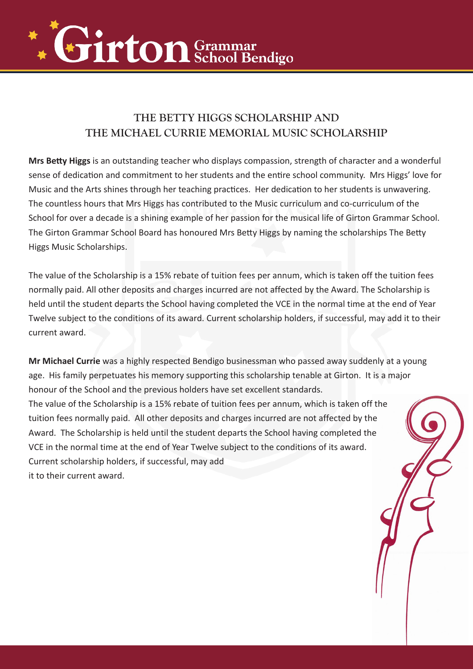

### **THE BETTY HIGGS SCHOLARSHIP AND THE MICHAEL CURRIE MEMORIAL MUSIC SCHOLARSHIP**

**Mrs Betty Higgs** is an outstanding teacher who displays compassion, strength of character and a wonderful sense of dedication and commitment to her students and the entire school community. Mrs Higgs' love for Music and the Arts shines through her teaching practices. Her dedication to her students is unwavering. The countless hours that Mrs Higgs has contributed to the Music curriculum and co-curriculum of the School for over a decade is a shining example of her passion for the musical life of Girton Grammar School. The Girton Grammar School Board has honoured Mrs Betty Higgs by naming the scholarships The Betty Higgs Music Scholarships.

The value of the Scholarship is a 15% rebate of tuition fees per annum, which is taken off the tuition fees normally paid. All other deposits and charges incurred are not affected by the Award. The Scholarship is held until the student departs the School having completed the VCE in the normal time at the end of Year Twelve subject to the conditions of its award. Current scholarship holders, if successful, may add it to their current award.

**Mr Michael Currie** was a highly respected Bendigo businessman who passed away suddenly at a young age. His family perpetuates his memory supporting this scholarship tenable at Girton. It is a major honour of the School and the previous holders have set excellent standards. The value of the Scholarship is a 15% rebate of tuition fees per annum, which is taken off the tuition fees normally paid. All other deposits and charges incurred are not affected by the Award. The Scholarship is held until the student departs the School having completed the VCE in the normal time at the end of Year Twelve subject to the conditions of its award. Current scholarship holders, if successful, may add it to their current award.